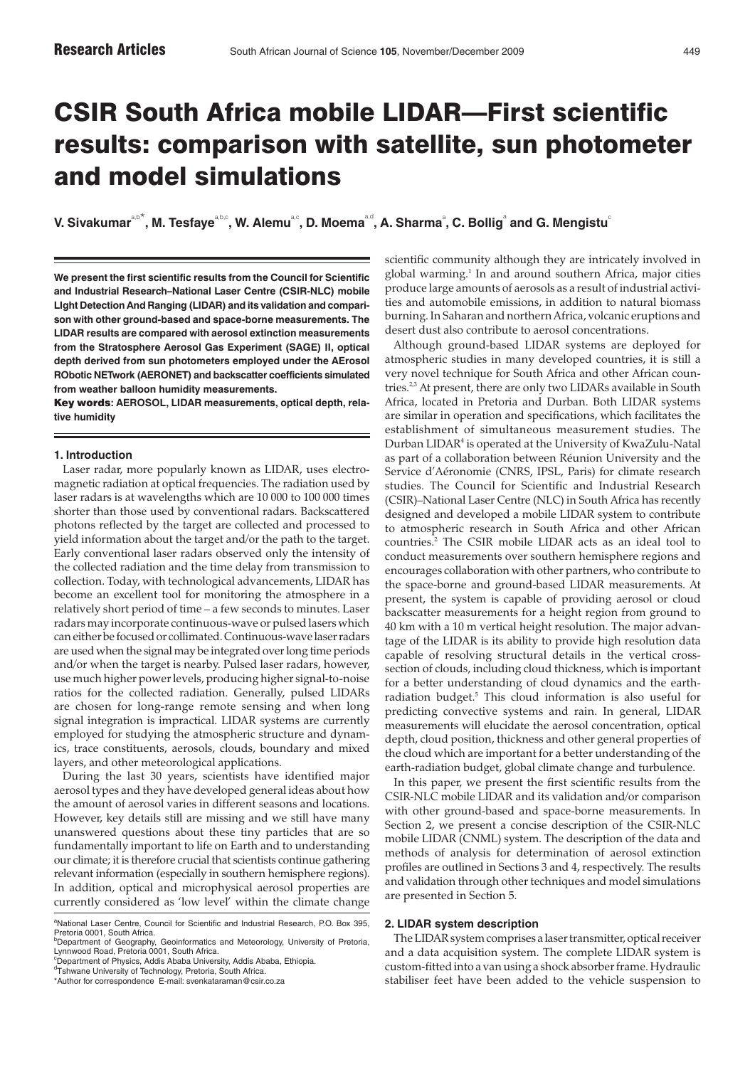# CSIR South Africa mobile LIDAR—First scientific results: comparison with satellite, sun photometer and model simulations

 $V$ . Sivakumar $a_{\rm p}$ , M. Tesfaye $a_{\rm p}$ , W. Alemu $a_{\rm p}$ , D. Moema $a_{\rm p}$ , A. Sharma $^2$ , C. Bollig $^2$  and G. Mengistu $^2$ 

**We present the first scientific results from the Council for Scientific and Industrial Research–National Laser Centre (CSIR-NLC) mobile LIght Detection And Ranging (LIDAR) and its validation and comparison with other ground-based and space-borne measurements. The LIDAR results are compared with aerosol extinction measurements from the Stratosphere Aerosol Gas Experiment (SAGE) II, optical depth derived from sun photometers employed under the AErosol RObotic NETwork (AERONET) and backscatter coefficients simulated from weather balloon humidity measurements.**

Key words**: AEROSOL, LIDAR measurements, optical depth, relative humidity**

# **1. Introduction**

Laser radar, more popularly known as LIDAR, uses electromagnetic radiation at optical frequencies. The radiation used by laser radars is at wavelengths which are 10 000 to 100 000 times shorter than those used by conventional radars. Backscattered photons reflected by the target are collected and processed to yield information about the target and/or the path to the target. Early conventional laser radars observed only the intensity of the collected radiation and the time delay from transmission to collection. Today, with technological advancements, LIDAR has become an excellent tool for monitoring the atmosphere in a relatively short period of time – a few seconds to minutes. Laser radars may incorporate continuous-wave or pulsed lasers which can either be focused or collimated. Continuous-wave laser radars are used when the signal may be integrated over long time periods and/or when the target is nearby. Pulsed laser radars, however, use much higher power levels, producing higher signal-to-noise ratios for the collected radiation. Generally, pulsed LIDARs are chosen for long-range remote sensing and when long signal integration is impractical. LIDAR systems are currently employed for studying the atmospheric structure and dynamics, trace constituents, aerosols, clouds, boundary and mixed layers, and other meteorological applications.

During the last 30 years, scientists have identified major aerosol types and they have developed general ideas about how the amount of aerosol varies in different seasons and locations. However, key details still are missing and we still have many unanswered questions about these tiny particles that are so fundamentally important to life on Earth and to understanding our climate; it is therefore crucial that scientists continue gathering relevant information (especially in southern hemisphere regions). In addition, optical and microphysical aerosol properties are currently considered as 'low level' within the climate change

<sup>d</sup>Tshwane University of Technology, Pretoria, South Africa.

scientific community although they are intricately involved in global warming.1 In and around southern Africa, major cities produce large amounts of aerosols as a result of industrial activities and automobile emissions, in addition to natural biomass burning. In Saharan and northern Africa, volcanic eruptions and desert dust also contribute to aerosol concentrations.

Although ground-based LIDAR systems are deployed for atmospheric studies in many developed countries, it is still a very novel technique for South Africa and other African countries.<sup>2,3</sup> At present, there are only two LIDARs available in South Africa, located in Pretoria and Durban. Both LIDAR systems are similar in operation and specifications, which facilitates the establishment of simultaneous measurement studies. The Durban LIDAR4 is operated at the University of KwaZulu-Natal as part of a collaboration between Réunion University and the Service d'Aéronomie (CNRS, IPSL, Paris) for climate research studies. The Council for Scientific and Industrial Research (CSIR)–National Laser Centre (NLC) in South Africa has recently designed and developed a mobile LIDAR system to contribute to atmospheric research in South Africa and other African countries.2 The CSIR mobile LIDAR acts as an ideal tool to conduct measurements over southern hemisphere regions and encourages collaboration with other partners, who contribute to the space-borne and ground-based LIDAR measurements. At present, the system is capable of providing aerosol or cloud backscatter measurements for a height region from ground to 40 km with a 10 m vertical height resolution. The major advantage of the LIDAR is its ability to provide high resolution data capable of resolving structural details in the vertical crosssection of clouds, including cloud thickness, which is important for a better understanding of cloud dynamics and the earthradiation budget.<sup>5</sup> This cloud information is also useful for predicting convective systems and rain. In general, LIDAR measurements will elucidate the aerosol concentration, optical depth, cloud position, thickness and other general properties of the cloud which are important for a better understanding of the earth-radiation budget, global climate change and turbulence.

In this paper, we present the first scientific results from the CSIR-NLC mobile LIDAR and its validation and/or comparison with other ground-based and space-borne measurements. In Section 2, we present a concise description of the CSIR-NLC mobile LIDAR (CNML) system. The description of the data and methods of analysis for determination of aerosol extinction profiles are outlined in Sections 3 and 4, respectively. The results and validation through other techniques and model simulations are presented in Section 5.

### **2. LIDAR system description**

The LIDAR system comprises a laser transmitter, optical receiver and a data acquisition system. The complete LIDAR system is custom-fitted into a van using a shock absorber frame. Hydraulic stabiliser feet have been added to the vehicle suspension to

<sup>&</sup>lt;sup>a</sup>National Laser Centre, Council for Scientific and Industrial Research, P.O. Box 395,<br>Pretoria 0001, South Africa.

b Department of Geography, Geoinformatics and Meteorology, University of Pretoria, Lynnwood Road, Pretoria 0001, South Africa. <sup>c</sup>Department of Physics, Addis Ababa University, Addis Ababa, Ethiopia.

<sup>\*</sup>Author for correspondence E-mail: svenkataraman@csir.co.za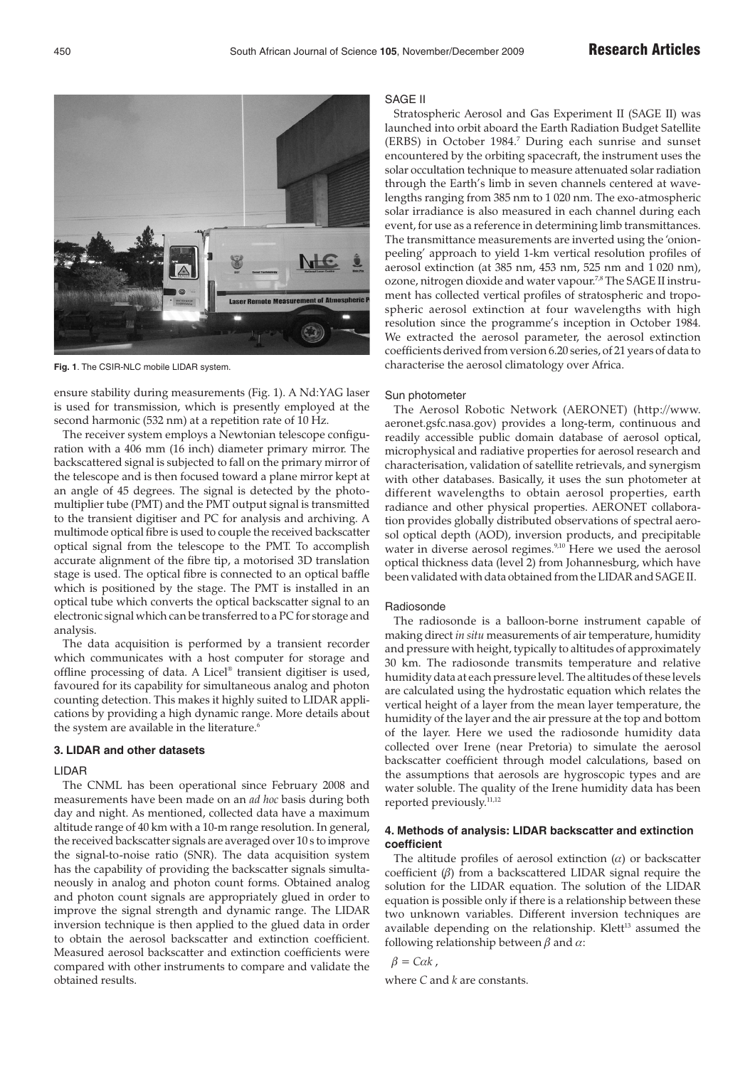

**Fig. 1**. The CSIR-NLC mobile LIDAR system.

ensure stability during measurements (Fig. 1). A Nd:YAG laser is used for transmission, which is presently employed at the second harmonic (532 nm) at a repetition rate of 10 Hz.

The receiver system employs a Newtonian telescope configuration with a 406 mm (16 inch) diameter primary mirror. The backscattered signal is subjected to fall on the primary mirror of the telescope and is then focused toward a plane mirror kept at an angle of 45 degrees. The signal is detected by the photomultiplier tube (PMT) and the PMT output signal is transmitted to the transient digitiser and PC for analysis and archiving. A multimode optical fibre is used to couple the received backscatter optical signal from the telescope to the PMT. To accomplish accurate alignment of the fibre tip, a motorised 3D translation stage is used. The optical fibre is connected to an optical baffle which is positioned by the stage. The PMT is installed in an optical tube which converts the optical backscatter signal to an electronic signal which can be transferred to a PC for storage and analysis.

The data acquisition is performed by a transient recorder which communicates with a host computer for storage and offline processing of data. A Licel® transient digitiser is used, favoured for its capability for simultaneous analog and photon counting detection. This makes it highly suited to LIDAR applications by providing a high dynamic range. More details about the system are available in the literature.<sup>6</sup>

### **3. LIDAR and other datasets**

# LIDAR

The CNML has been operational since February 2008 and measurements have been made on an *ad hoc* basis during both day and night. As mentioned, collected data have a maximum altitude range of 40 km with a 10-m range resolution. In general, the received backscatter signals are averaged over 10 s to improve the signal-to-noise ratio (SNR). The data acquisition system has the capability of providing the backscatter signals simultaneously in analog and photon count forms. Obtained analog and photon count signals are appropriately glued in order to improve the signal strength and dynamic range. The LIDAR inversion technique is then applied to the glued data in order to obtain the aerosol backscatter and extinction coefficient. Measured aerosol backscatter and extinction coefficients were compared with other instruments to compare and validate the obtained results.

#### SAGE II

Stratospheric Aerosol and Gas Experiment II (SAGE II) was launched into orbit aboard the Earth Radiation Budget Satellite (ERBS) in October 1984.<sup>7</sup> During each sunrise and sunset encountered by the orbiting spacecraft, the instrument uses the solar occultation technique to measure attenuated solar radiation through the Earth's limb in seven channels centered at wavelengths ranging from 385 nm to 1 020 nm. The exo-atmospheric solar irradiance is also measured in each channel during each event, for use as a reference in determining limb transmittances. The transmittance measurements are inverted using the 'onionpeeling' approach to yield 1-km vertical resolution profiles of aerosol extinction (at 385 nm, 453 nm, 525 nm and 1 020 nm), ozone, nitrogen dioxide and water vapour.<sup>7,8</sup> The SAGE II instrument has collected vertical profiles of stratospheric and tropospheric aerosol extinction at four wavelengths with high resolution since the programme's inception in October 1984. We extracted the aerosol parameter, the aerosol extinction coefficients derived from version 6.20 series, of 21 years of data to characterise the aerosol climatology over Africa.

### Sun photometer

The Aerosol Robotic Network (AERONET) (http://www. aeronet.gsfc.nasa.gov) provides a long-term, continuous and readily accessible public domain database of aerosol optical, microphysical and radiative properties for aerosol research and characterisation, validation of satellite retrievals, and synergism with other databases. Basically, it uses the sun photometer at different wavelengths to obtain aerosol properties, earth radiance and other physical properties. AERONET collaboration provides globally distributed observations of spectral aerosol optical depth (AOD), inversion products, and precipitable water in diverse aerosol regimes.<sup>9,10</sup> Here we used the aerosol optical thickness data (level 2) from Johannesburg, which have been validated with data obtained from the LIDAR and SAGE II.

#### Radiosonde

The radiosonde is a balloon-borne instrument capable of making direct *in situ* measurements of air temperature, humidity and pressure with height, typically to altitudes of approximately 30 km. The radiosonde transmits temperature and relative humidity data at each pressure level. The altitudes of these levels are calculated using the hydrostatic equation which relates the vertical height of a layer from the mean layer temperature, the humidity of the layer and the air pressure at the top and bottom of the layer. Here we used the radiosonde humidity data collected over Irene (near Pretoria) to simulate the aerosol backscatter coefficient through model calculations, based on the assumptions that aerosols are hygroscopic types and are water soluble. The quality of the Irene humidity data has been reported previously.<sup>11,12</sup>

# **4. Methods of analysis: LIDAR backscatter and extinction coefficient**

The altitude profiles of aerosol extinction  $(\alpha)$  or backscatter coefficient  $(β)$  from a backscattered LIDAR signal require the solution for the LIDAR equation. The solution of the LIDAR equation is possible only if there is a relationship between these two unknown variables. Different inversion techniques are available depending on the relationship. Klett<sup>13</sup> assumed the following relationship between  $\beta$  and  $\alpha$ :

$$
\beta = C\alpha k,
$$

where *C* and *k* are constants.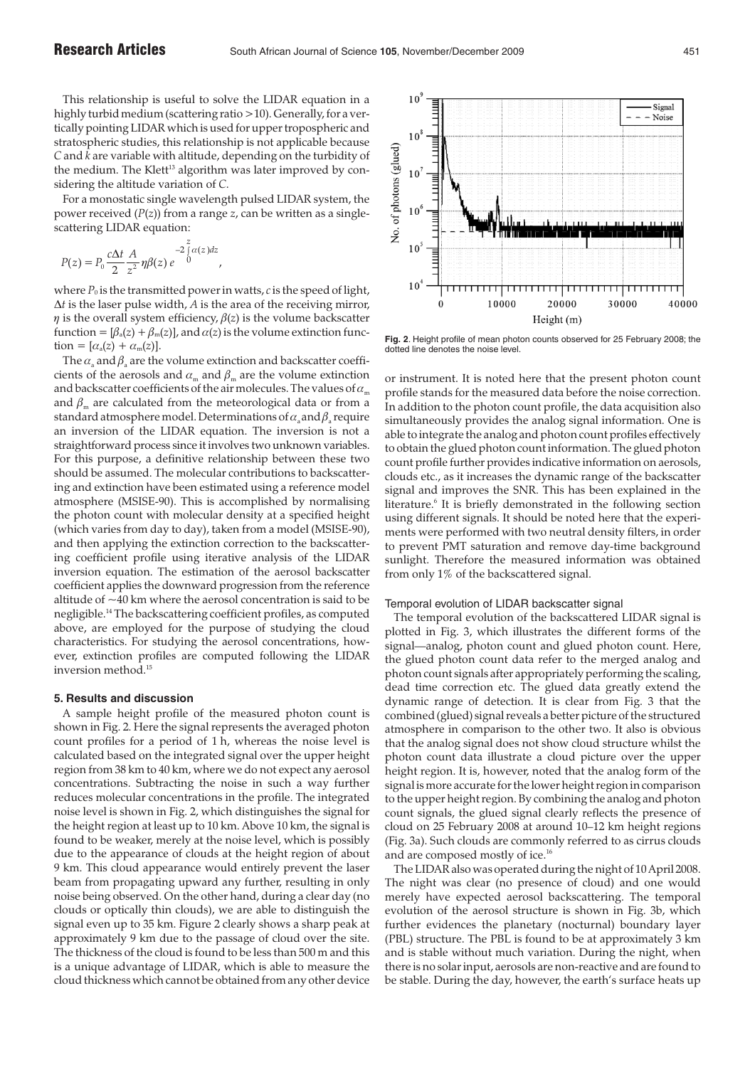This relationship is useful to solve the LIDAR equation in a highly turbid medium (scattering ratio >10). Generally, for a vertically pointing LIDAR which is used for upper tropospheric and stratospheric studies, this relationship is not applicable because *C* and *k* are variable with altitude, depending on the turbidity of the medium. The Klett<sup>13</sup> algorithm was later improved by considering the altitude variation of *C*.

For a monostatic single wavelength pulsed LIDAR system, the power received (*P*(*z*)) from a range *z*, can be written as a singlescattering LIDAR equation:

,

$$
P(z) = P_0 \frac{c\Delta t}{2} \frac{A}{z^2} \eta \beta(z) e^{-2 \int_0^z \alpha(z) dz}
$$

where  $P_0$  is the transmitted power in watts, *c* is the speed of light, ∆*t* is the laser pulse width, *A* is the area of the receiving mirror,  $\eta$  is the overall system efficiency,  $\beta(z)$  is the volume backscatter function =  $[\beta_a(z) + \beta_m(z)]$ , and  $\alpha(z)$  is the volume extinction function =  $[\alpha_a(z) + \alpha_m(z)].$ 

The  $\alpha_a$  and  $\beta_a$  are the volume extinction and backscatter coefficients of the aerosols and  $\alpha_m$  and  $\beta_m$  are the volume extinction and backscatter coefficients of the air molecules. The values of  $\alpha_{\rm m}$ and  $\beta_m$  are calculated from the meteorological data or from a standard atmosphere model. Determinations of  $\alpha_a$  and  $\beta_a$  require an inversion of the LIDAR equation. The inversion is not a straightforward process since it involves two unknown variables. For this purpose, a definitive relationship between these two should be assumed. The molecular contributions to backscattering and extinction have been estimated using a reference model atmosphere (MSISE-90). This is accomplished by normalising the photon count with molecular density at a specified height (which varies from day to day), taken from a model (MSISE-90), and then applying the extinction correction to the backscattering coefficient profile using iterative analysis of the LIDAR inversion equation. The estimation of the aerosol backscatter coefficient applies the downward progression from the reference altitude of  $\sim$ 40 km where the aerosol concentration is said to be negligible.14 The backscattering coefficient profiles, as computed above, are employed for the purpose of studying the cloud characteristics. For studying the aerosol concentrations, however, extinction profiles are computed following the LIDAR inversion method.15

# **5. Results and discussion**

A sample height profile of the measured photon count is shown in Fig. 2. Here the signal represents the averaged photon count profiles for a period of 1 h, whereas the noise level is calculated based on the integrated signal over the upper height region from 38 km to 40 km, where we do not expect any aerosol concentrations. Subtracting the noise in such a way further reduces molecular concentrations in the profile. The integrated noise level is shown in Fig. 2, which distinguishes the signal for the height region at least up to 10 km. Above 10 km, the signal is found to be weaker, merely at the noise level, which is possibly due to the appearance of clouds at the height region of about 9 km. This cloud appearance would entirely prevent the laser beam from propagating upward any further, resulting in only noise being observed. On the other hand, during a clear day (no clouds or optically thin clouds), we are able to distinguish the signal even up to 35 km. Figure 2 clearly shows a sharp peak at approximately 9 km due to the passage of cloud over the site. The thickness of the cloud is found to be less than 500 m and this is a unique advantage of LIDAR, which is able to measure the cloud thickness which cannot be obtained from any other device



**Fig. 2**. Height profile of mean photon counts observed for 25 February 2008; the dotted line denotes the noise level.

or instrument. It is noted here that the present photon count profile stands for the measured data before the noise correction. In addition to the photon count profile, the data acquisition also simultaneously provides the analog signal information. One is able to integrate the analog and photon count profiles effectively to obtain the glued photon count information. The glued photon count profile further provides indicative information on aerosols, clouds etc., as it increases the dynamic range of the backscatter signal and improves the SNR. This has been explained in the literature.<sup>6</sup> It is briefly demonstrated in the following section using different signals. It should be noted here that the experiments were performed with two neutral density filters, in order to prevent PMT saturation and remove day-time background sunlight. Therefore the measured information was obtained from only 1% of the backscattered signal.

#### Temporal evolution of LIDAR backscatter signal

The temporal evolution of the backscattered LIDAR signal is plotted in Fig. 3, which illustrates the different forms of the signal—analog, photon count and glued photon count. Here, the glued photon count data refer to the merged analog and photon count signals after appropriately performing the scaling, dead time correction etc. The glued data greatly extend the dynamic range of detection. It is clear from Fig. 3 that the combined (glued) signal reveals a better picture of the structured atmosphere in comparison to the other two. It also is obvious that the analog signal does not show cloud structure whilst the photon count data illustrate a cloud picture over the upper height region. It is, however, noted that the analog form of the signal is more accurate for the lower height region in comparison to the upper height region. By combining the analog and photon count signals, the glued signal clearly reflects the presence of cloud on 25 February 2008 at around 10–12 km height regions (Fig. 3a). Such clouds are commonly referred to as cirrus clouds and are composed mostly of ice.16

The LIDAR also was operated during the night of 10 April 2008. The night was clear (no presence of cloud) and one would merely have expected aerosol backscattering. The temporal evolution of the aerosol structure is shown in Fig. 3b, which further evidences the planetary (nocturnal) boundary layer (PBL) structure. The PBL is found to be at approximately 3 km and is stable without much variation. During the night, when there is no solar input, aerosols are non-reactive and are found to be stable. During the day, however, the earth's surface heats up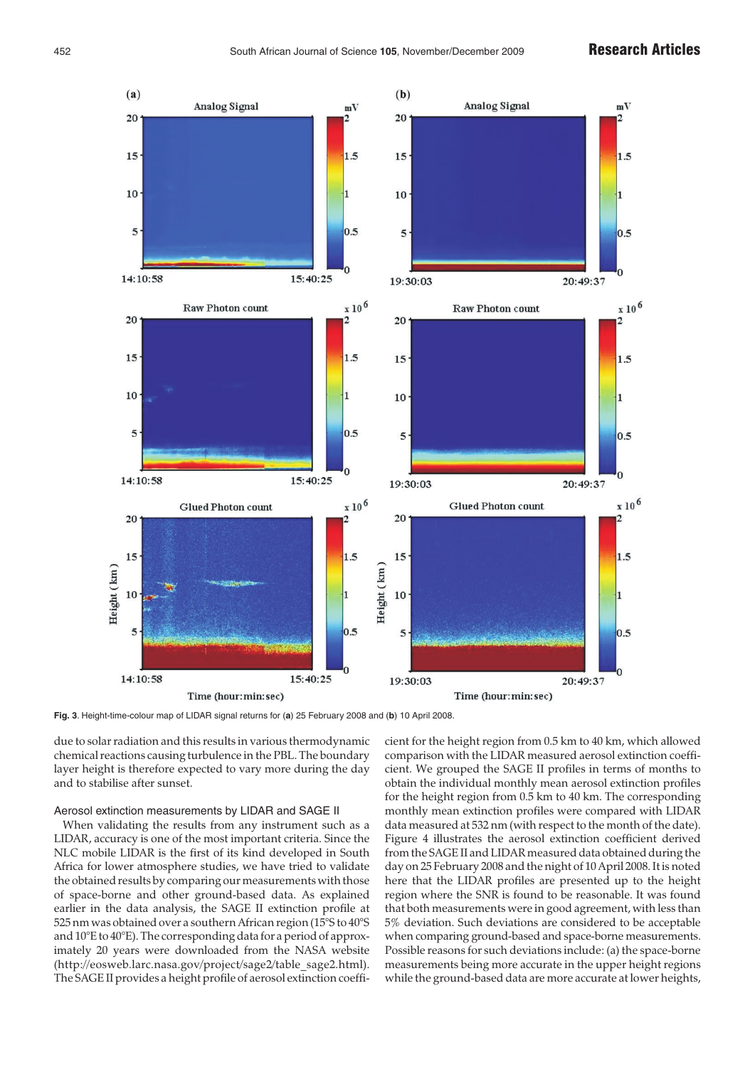

**Fig. 3**. Height-time-colour map of LIDAR signal returns for (**a**) 25 February 2008 and (**b**) 10 April 2008.

due to solar radiation and this results in various thermodynamic chemical reactions causing turbulence in the PBL. The boundary layer height is therefore expected to vary more during the day and to stabilise after sunset.

# Aerosol extinction measurements by LIDAR and SAGE II

When validating the results from any instrument such as a LIDAR, accuracy is one of the most important criteria. Since the NLC mobile LIDAR is the first of its kind developed in South Africa for lower atmosphere studies, we have tried to validate the obtained results by comparing our measurements with those of space-borne and other ground-based data. As explained earlier in the data analysis, the SAGE II extinction profile at 525 nm was obtained over a southern African region (15°S to 40°S and 10°E to 40°E). The corresponding data for a period of approximately 20 years were downloaded from the NASA website (http://eosweb.larc.nasa.gov/project/sage2/table\_sage2.html). The SAGE II provides a height profile of aerosol extinction coefficient for the height region from 0.5 km to 40 km, which allowed comparison with the LIDAR measured aerosol extinction coefficient. We grouped the SAGE II profiles in terms of months to obtain the individual monthly mean aerosol extinction profiles for the height region from 0.5 km to 40 km. The corresponding monthly mean extinction profiles were compared with LIDAR data measured at 532 nm (with respect to the month of the date). Figure 4 illustrates the aerosol extinction coefficient derived from the SAGE II and LIDAR measured data obtained during the day on 25 February 2008 and the night of 10 April 2008. It is noted here that the LIDAR profiles are presented up to the height region where the SNR is found to be reasonable. It was found that both measurements were in good agreement, with less than 5% deviation. Such deviations are considered to be acceptable when comparing ground-based and space-borne measurements. Possible reasons for such deviations include: (a) the space-borne measurements being more accurate in the upper height regions while the ground-based data are more accurate at lower heights,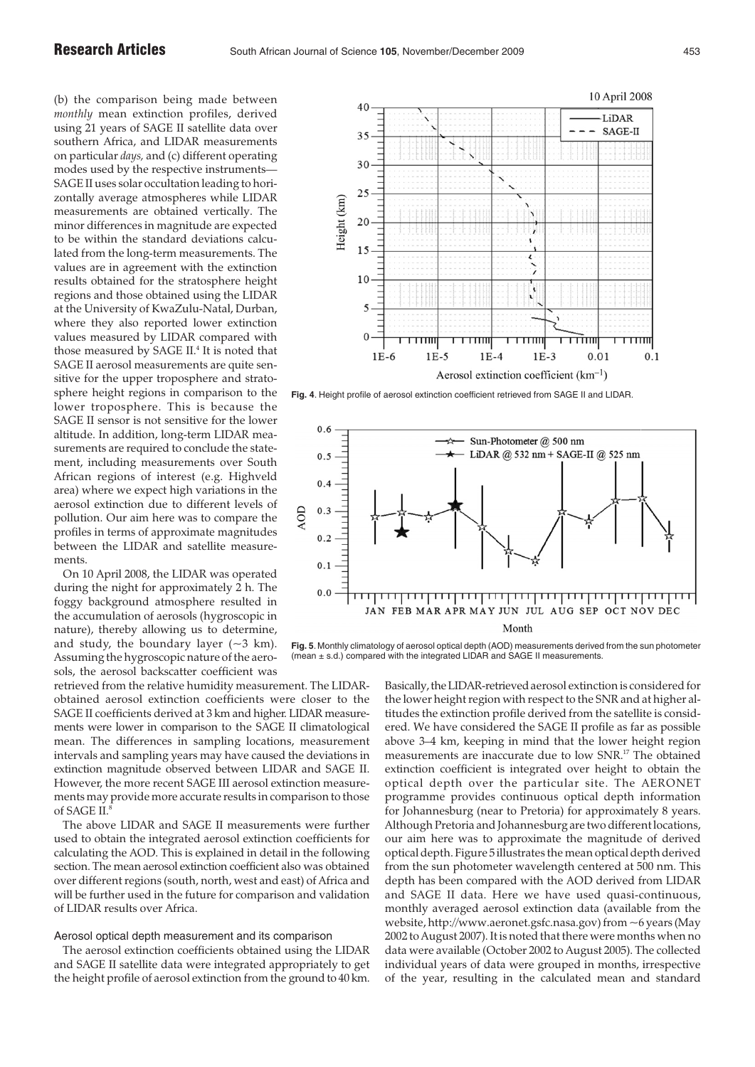(b) the comparison being made between *monthly* mean extinction profiles, derived using 21 years of SAGE II satellite data over southern Africa, and LIDAR measurements on particular *days,* and (c) different operating modes used by the respective instruments— SAGE II uses solar occultation leading to horizontally average atmospheres while LIDAR measurements are obtained vertically. The minor differences in magnitude are expected to be within the standard deviations calculated from the long-term measurements. The values are in agreement with the extinction results obtained for the stratosphere height regions and those obtained using the LIDAR at the University of KwaZulu-Natal, Durban, where they also reported lower extinction values measured by LIDAR compared with those measured by SAGE II.<sup>4</sup> It is noted that SAGE II aerosol measurements are quite sensitive for the upper troposphere and stratosphere height regions in comparison to the lower troposphere. This is because the SAGE II sensor is not sensitive for the lower altitude. In addition, long-term LIDAR measurements are required to conclude the statement, including measurements over South African regions of interest (e.g. Highveld area) where we expect high variations in the aerosol extinction due to different levels of pollution. Our aim here was to compare the profiles in terms of approximate magnitudes between the LIDAR and satellite measurements.

On 10 April 2008, the LIDAR was operated during the night for approximately 2 h. The foggy background atmosphere resulted in the accumulation of aerosols (hygroscopic in nature), thereby allowing us to determine, and study, the boundary layer  $(-3 \text{ km})$ . Assuming the hygroscopic nature of the aerosols, the aerosol backscatter coefficient was

retrieved from the relative humidity measurement. The LIDARobtained aerosol extinction coefficients were closer to the SAGE II coefficients derived at 3 km and higher. LIDAR measurements were lower in comparison to the SAGE II climatological mean. The differences in sampling locations, measurement intervals and sampling years may have caused the deviations in extinction magnitude observed between LIDAR and SAGE II. However, the more recent SAGE III aerosol extinction measurements may provide more accurate results in comparison to those of SAGE II.

The above LIDAR and SAGE II measurements were further used to obtain the integrated aerosol extinction coefficients for calculating the AOD. This is explained in detail in the following section. The mean aerosol extinction coefficient also was obtained over different regions (south, north, west and east) of Africa and will be further used in the future for comparison and validation of LIDAR results over Africa.

# Aerosol optical depth measurement and its comparison

The aerosol extinction coefficients obtained using the LIDAR and SAGE II satellite data were integrated appropriately to get the height profile of aerosol extinction from the ground to 40 km.



**Fig. 4**. Height profile of aerosol extinction coefficient retrieved from SAGE II and LIDAR.



**Fig. 5**. Monthly climatology of aerosol optical depth (AOD) measurements derived from the sun photometer (mean ± s.d.) compared with the integrated LIDAR and SAGE II measurements.

> Basically, the LIDAR-retrieved aerosol extinction is considered for the lower height region with respect to the SNR and at higher altitudes the extinction profile derived from the satellite is considered. We have considered the SAGE II profile as far as possible above 3–4 km, keeping in mind that the lower height region measurements are inaccurate due to low SNR.17 The obtained extinction coefficient is integrated over height to obtain the optical depth over the particular site. The AERONET programme provides continuous optical depth information for Johannesburg (near to Pretoria) for approximately 8 years. Although Pretoria and Johannesburg are two different locations, our aim here was to approximate the magnitude of derived optical depth. Figure 5 illustrates the mean optical depth derived from the sun photometer wavelength centered at 500 nm. This depth has been compared with the AOD derived from LIDAR and SAGE II data. Here we have used quasi-continuous, monthly averaged aerosol extinction data (available from the website, http://www.aeronet.gsfc.nasa.gov) from ~6 years (May 2002 to August 2007). It is noted that there were months when no data were available (October 2002 to August 2005). The collected individual years of data were grouped in months, irrespective of the year, resulting in the calculated mean and standard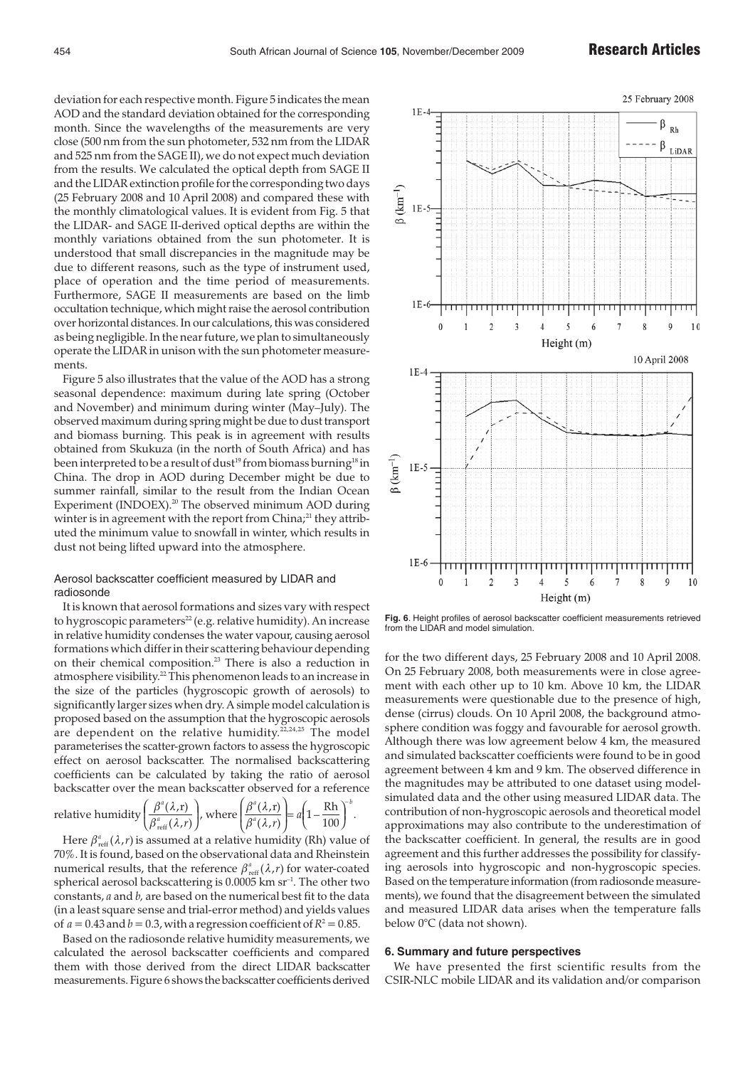deviation for each respective month. Figure 5 indicates the mean AOD and the standard deviation obtained for the corresponding month. Since the wavelengths of the measurements are very close (500 nm from the sun photometer, 532 nm from the LIDAR and 525 nm from the SAGE II), we do not expect much deviation from the results. We calculated the optical depth from SAGE II and the LIDAR extinction profile for the corresponding two days (25 February 2008 and 10 April 2008) and compared these with the monthly climatological values. It is evident from Fig. 5 that the LIDAR- and SAGE II-derived optical depths are within the monthly variations obtained from the sun photometer. It is understood that small discrepancies in the magnitude may be due to different reasons, such as the type of instrument used, place of operation and the time period of measurements. Furthermore, SAGE II measurements are based on the limb occultation technique, which might raise the aerosol contribution over horizontal distances. In our calculations, this was considered as being negligible. In the near future, we plan to simultaneously operate the LIDAR in unison with the sun photometer measurements.

Figure 5 also illustrates that the value of the AOD has a strong seasonal dependence: maximum during late spring (October and November) and minimum during winter (May–July). The observed maximum during spring might be due to dust transport and biomass burning. This peak is in agreement with results obtained from Skukuza (in the north of South Africa) and has been interpreted to be a result of dust<sup>19</sup> from biomass burning<sup>18</sup> in China. The drop in AOD during December might be due to summer rainfall, similar to the result from the Indian Ocean Experiment (INDOEX).<sup>20</sup> The observed minimum AOD during winter is in agreement with the report from China;<sup>21</sup> they attributed the minimum value to snowfall in winter, which results in dust not being lifted upward into the atmosphere.

# Aerosol backscatter coefficient measured by LIDAR and radiosonde

It is known that aerosol formations and sizes vary with respect to hygroscopic parameters<sup>22</sup> (e.g. relative humidity). An increase in relative humidity condenses the water vapour, causing aerosol formations which differ in their scattering behaviour depending on their chemical composition.<sup>23</sup> There is also a reduction in atmosphere visibility.<sup>22</sup> This phenomenon leads to an increase in the size of the particles (hygroscopic growth of aerosols) to significantly larger sizes when dry. A simple model calculation is proposed based on the assumption that the hygroscopic aerosols are dependent on the relative humidity.<sup>22,24,25</sup> The model parameterises the scatter-grown factors to assess the hygroscopic effect on aerosol backscatter. The normalised backscattering coefficients can be calculated by taking the ratio of aerosol backscatter over the mean backscatter observed for a reference

relative humidity  $\beta^{\scriptscriptstyle a}_{\scriptscriptstyle\rm reff}(\lambda,\!r)$   $_{\rm eff}$  $\left(\frac{\beta^a(\lambda,r)}{\beta^a(\lambda,r)}\right)$ reff ⎛ ⎝ where  $\beta^{\scriptscriptstyle a}(\lambda,\!r)$   $\!$ *a* ( ,r) ⎛ ⎝ ⎜ ⎜ ⎞ ⎟  $\Big| = a \Big($ ⎝  $a\left(1-\frac{Rh}{100}\right)$  $1 -$ 

Here  $\beta^a_{\text{reff}}(\lambda, r)$  is assumed at a relative humidity (Rh) value of 70%. It is found, based on the observational data and Rheinstein numerical results, that the reference  $\beta_{\text{reff}}^a(\lambda, r)$  for water-coated spherical aerosol backscattering is 0.0005 km sr<sup>-1</sup>. The other two constants, *a* and *b,* are based on the numerical best fit to the data (in a least square sense and trial-error method) and yields values of  $a = 0.43$  and  $b = 0.3$ , with a regression coefficient of  $R^2 = 0.85$ .

*b*

Rh – .

Based on the radiosonde relative humidity measurements, we calculated the aerosol backscatter coefficients and compared them with those derived from the direct LIDAR backscatter measurements. Figure 6 shows the backscatter coefficients derived



**Fig. 6**. Height profiles of aerosol backscatter coefficient measurements retrieved from the LIDAR and model simulation.

for the two different days, 25 February 2008 and 10 April 2008. On 25 February 2008, both measurements were in close agreement with each other up to 10 km. Above 10 km, the LIDAR measurements were questionable due to the presence of high, dense (cirrus) clouds. On 10 April 2008, the background atmosphere condition was foggy and favourable for aerosol growth. Although there was low agreement below 4 km, the measured and simulated backscatter coefficients were found to be in good agreement between 4 km and 9 km. The observed difference in the magnitudes may be attributed to one dataset using modelsimulated data and the other using measured LIDAR data. The contribution of non-hygroscopic aerosols and theoretical model approximations may also contribute to the underestimation of the backscatter coefficient. In general, the results are in good agreement and this further addresses the possibility for classifying aerosols into hygroscopic and non-hygroscopic species. Based on the temperature information (from radiosonde measurements), we found that the disagreement between the simulated and measured LIDAR data arises when the temperature falls below 0°C (data not shown).

## **6. Summary and future perspectives**

We have presented the first scientific results from the CSIR-NLC mobile LIDAR and its validation and/or comparison